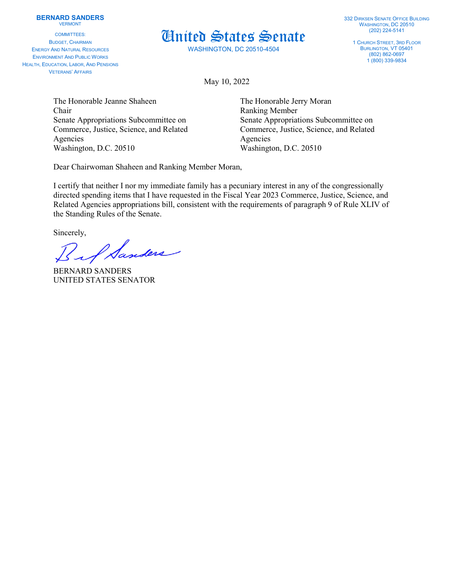## **BERNARD SANDERS** VERMONT

COMMITTEES: BUDGET, CHAIRMAN ENERGY AND NATURAL RESOURCES ENVIRONMENT AND PUBLIC WORKS HEALTH, EDUCATION, LABOR, AND PENSIONS VETERANS' AFFAIRS



WASHINGTON, DC 20510-4504

332 DIRKSEN SENATE OFFICE BUILDING WASHINGTON, DC 20510 (202) 224-5141

1 CHURCH STREET, 3RD FLOOR BURLINGTON, VT 05401 (802) 862-0697 1 (800) 339-9834

May 10, 2022

The Honorable Jeanne Shaheen The Honorable Jerry Moran Chair Ranking Member Agencies Agencies Washington, D.C. 20510 Washington, D.C. 20510

Senate Appropriations Subcommittee on Senate Appropriations Subcommittee on Commerce, Justice, Science, and Related Commerce, Justice, Science, and Related

Dear Chairwoman Shaheen and Ranking Member Moran,

I certify that neither I nor my immediate family has a pecuniary interest in any of the congressionally directed spending items that I have requested in the Fiscal Year 2023 Commerce, Justice, Science, and Related Agencies appropriations bill, consistent with the requirements of paragraph 9 of Rule XLIV of the Standing Rules of the Senate.

Sincerely,

I Sanders

BERNARD SANDERS UNITED STATES SENATOR